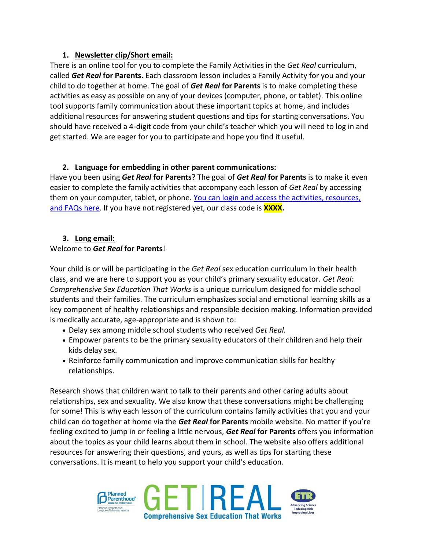## **1. Newsletter clip/Short email:**

There is an online tool for you to complete the Family Activities in the *Get Real* curriculum, called *Get Real* **for Parents.** Each classroom lesson includes a Family Activity for you and your child to do together at home. The goal of *Get Real* **for Parents** is to make completing these activities as easy as possible on any of your devices (computer, phone, or tablet). This online tool supports family communication about these important topics at home, and includes additional resources for answering student questions and tips for starting conversations. You should have received a 4-digit code from your child's teacher which you will need to log in and get started. We are eager for you to participate and hope you find it useful.

# **2. Language for embedding in other parent communications:**

Have you been using *Get Real* **for Parents**? The goal of *Get Real* **for Parents** is to make it even easier to complete the family activities that accompany each lesson of *Get Real* by accessing them on your computer, tablet, or phone. [You can login and access the activities, resources,](https://parent.getrealeducation.org/)  [and FAQs here.](https://parent.getrealeducation.org/) If you have not registered yet, our class code is **XXXX.**

# **3. Long email:**

# Welcome to *Get Real* **for Parents**!

Your child is or will be participating in the *Get Real* sex education curriculum in their health class, and we are here to support you as your child's primary sexuality educator. *Get Real: Comprehensive Sex Education That Works* is a unique curriculum designed for middle school students and their families. The curriculum emphasizes social and emotional learning skills as a key component of healthy relationships and responsible decision making. Information provided is medically accurate, age-appropriate and is shown to:

- Delay sex among middle school students who received *Get Real.*
- Empower parents to be the primary sexuality educators of their children and help their kids delay sex.
- Reinforce family communication and improve communication skills for healthy relationships.

Research shows that children want to talk to their parents and other caring adults about relationships, sex and sexuality. We also know that these conversations might be challenging for some! This is why each lesson of the curriculum contains family activities that you and your child can do together at home via the *Get Real* **for Parents** mobile website. No matter if you're feeling excited to jump in or feeling a little nervous, *Get Real* **for Parents** offers you information about the topics as your child learns about them in school. The website also offers additional resources for answering their questions, and yours, as well as tips for starting these conversations. It is meant to help you support your child's education.